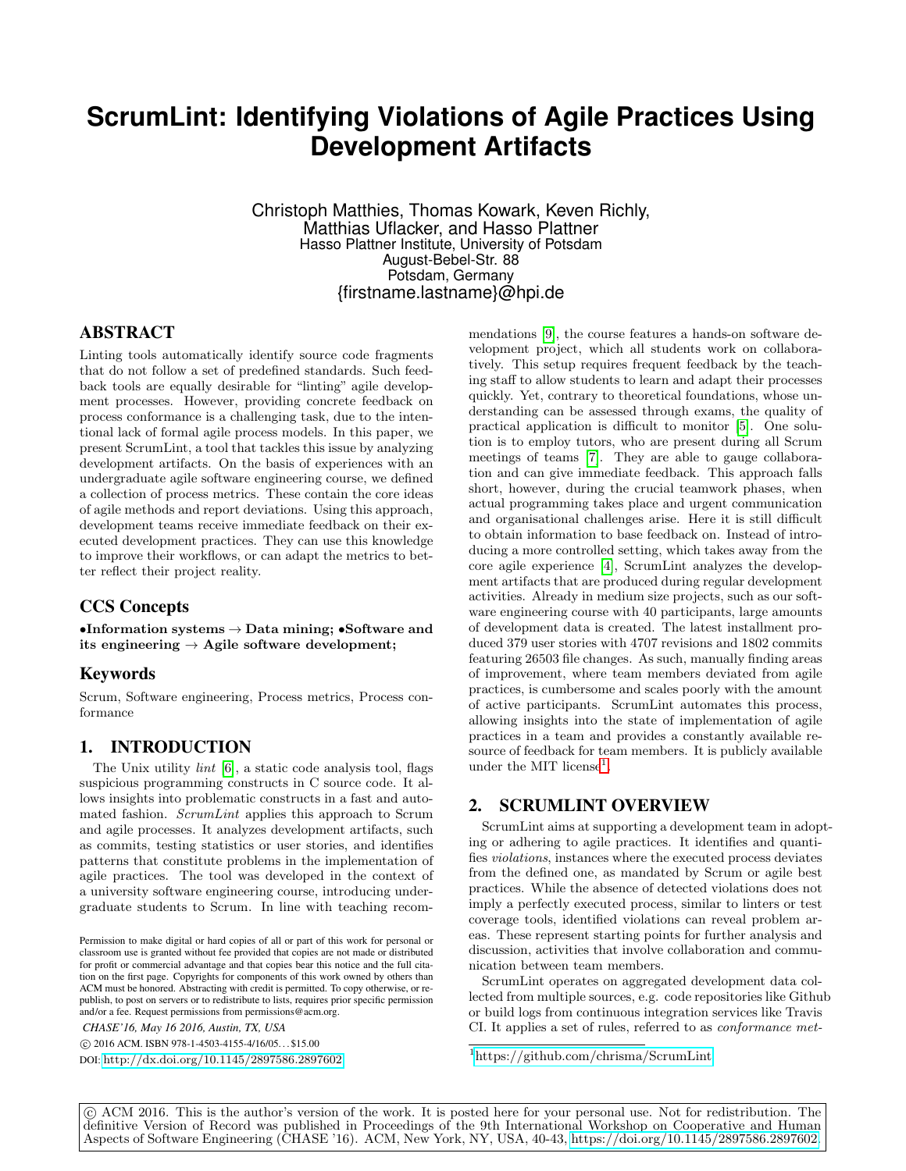# **ScrumLint: Identifying Violations of Agile Practices Using Development Artifacts**

Christoph Matthies, Thomas Kowark, Keven Richly, Matthias Uflacker, and Hasso Plattner Hasso Plattner Institute, University of Potsdam August-Bebel-Str. 88 Potsdam, Germany {firstname.lastname}@hpi.de

# ABSTRACT

Linting tools automatically identify source code fragments that do not follow a set of predefined standards. Such feedback tools are equally desirable for "linting" agile development processes. However, providing concrete feedback on process conformance is a challenging task, due to the intentional lack of formal agile process models. In this paper, we present ScrumLint, a tool that tackles this issue by analyzing development artifacts. On the basis of experiences with an undergraduate agile software engineering course, we defined a collection of process metrics. These contain the core ideas of agile methods and report deviations. Using this approach, development teams receive immediate feedback on their executed development practices. They can use this knowledge to improve their workflows, or can adapt the metrics to better reflect their project reality.

## CCS Concepts

•Information systems  $\rightarrow$  Data mining; •Software and its engineering  $\rightarrow$  Agile software development;

#### Keywords

Scrum, Software engineering, Process metrics, Process conformance

# 1. INTRODUCTION

The Unix utility lint [\[6\]](#page-3-0), a static code analysis tool, flags suspicious programming constructs in C source code. It allows insights into problematic constructs in a fast and automated fashion. ScrumLint applies this approach to Scrum and agile processes. It analyzes development artifacts, such as commits, testing statistics or user stories, and identifies patterns that constitute problems in the implementation of agile practices. The tool was developed in the context of a university software engineering course, introducing undergraduate students to Scrum. In line with teaching recom-

Permission to make digital or hard copies of all or part of this work for personal or classroom use is granted without fee provided that copies are not made or distributed for profit or commercial advantage and that copies bear this notice and the full citation on the first page. Copyrights for components of this work owned by others than ACM must be honored. Abstracting with credit is permitted. To copy otherwise, or republish, to post on servers or to redistribute to lists, requires prior specific permission and/or a fee. Request permissions from permissions@acm.org.

*CHASE'16, May 16 2016, Austin, TX, USA*

 c 2016 ACM. ISBN 978-1-4503-4155-4/16/05. . . \$15.00 DOI: <http://dx.doi.org/10.1145/2897586.2897602> mendations [\[9\]](#page-3-1), the course features a hands-on software development project, which all students work on collaboratively. This setup requires frequent feedback by the teaching staff to allow students to learn and adapt their processes quickly. Yet, contrary to theoretical foundations, whose understanding can be assessed through exams, the quality of practical application is difficult to monitor [\[5\]](#page-3-2). One solution is to employ tutors, who are present during all Scrum meetings of teams [\[7\]](#page-3-3). They are able to gauge collaboration and can give immediate feedback. This approach falls short, however, during the crucial teamwork phases, when actual programming takes place and urgent communication and organisational challenges arise. Here it is still difficult to obtain information to base feedback on. Instead of introducing a more controlled setting, which takes away from the core agile experience [\[4\]](#page-3-4), ScrumLint analyzes the development artifacts that are produced during regular development activities. Already in medium size projects, such as our software engineering course with 40 participants, large amounts of development data is created. The latest installment produced 379 user stories with 4707 revisions and 1802 commits featuring 26503 file changes. As such, manually finding areas of improvement, where team members deviated from agile practices, is cumbersome and scales poorly with the amount of active participants. ScrumLint automates this process, allowing insights into the state of implementation of agile practices in a team and provides a constantly available resource of feedback for team members. It is publicly available under the MIT license<sup>[1](#page-0-0)</sup>.

# 2. SCRUMLINT OVERVIEW

ScrumLint aims at supporting a development team in adopting or adhering to agile practices. It identifies and quantifies violations, instances where the executed process deviates from the defined one, as mandated by Scrum or agile best practices. While the absence of detected violations does not imply a perfectly executed process, similar to linters or test coverage tools, identified violations can reveal problem areas. These represent starting points for further analysis and discussion, activities that involve collaboration and communication between team members.

ScrumLint operates on aggregated development data collected from multiple sources, e.g. code repositories like Github or build logs from continuous integration services like Travis CI. It applies a set of rules, referred to as conformance met-

 c ACM 2016. This is the author's version of the work. It is posted here for your personal use. Not for redistribution. The definitive Version of Record was published in Proceedings of the 9th International Workshop on Cooperative and Human Aspects of Software Engineering (CHASE '16). ACM, New York, NY, USA, 40-43, [https://doi.org/10.1145/2897586.2897602.](https://doi.org/10.1145/2897586.2897602)

<span id="page-0-0"></span><sup>1</sup><https://github.com/chrisma/ScrumLint>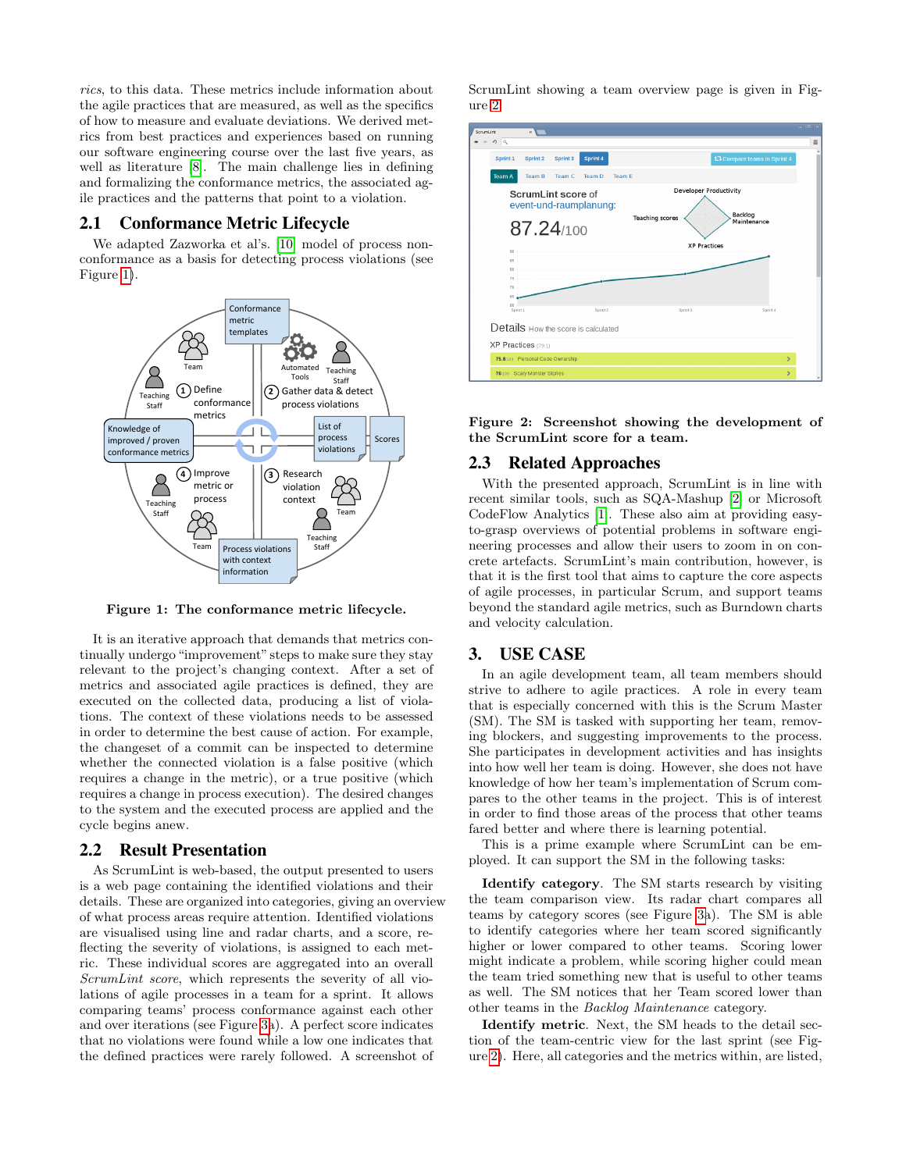rics, to this data. These metrics include information about the agile practices that are measured, as well as the specifics of how to measure and evaluate deviations. We derived metrics from best practices and experiences based on running our software engineering course over the last five years, as well as literature [\[8\]](#page-3-5). The main challenge lies in defining and formalizing the conformance metrics, the associated agile practices and the patterns that point to a violation.

#### 2.1 Conformance Metric Lifecycle

We adapted Zazworka et al's. [\[10\]](#page-3-6) model of process nonconformance as a basis for detecting process violations (see Figure [1\)](#page-1-0).



Figure 1: The conformance metric lifecycle.

It is an iterative approach that demands that metrics continually undergo "improvement" steps to make sure they stay relevant to the project's changing context. After a set of metrics and associated agile practices is defined, they are executed on the collected data, producing a list of violations. The context of these violations needs to be assessed in order to determine the best cause of action. For example, the changeset of a commit can be inspected to determine whether the connected violation is a false positive (which requires a change in the metric), or a true positive (which requires a change in process execution). The desired changes to the system and the executed process are applied and the cycle begins anew.

#### 2.2 Result Presentation

As ScrumLint is web-based, the output presented to users is a web page containing the identified violations and their details. These are organized into categories, giving an overview of what process areas require attention. Identified violations are visualised using line and radar charts, and a score, reflecting the severity of violations, is assigned to each metric. These individual scores are aggregated into an overall ScrumLint score, which represents the severity of all violations of agile processes in a team for a sprint. It allows comparing teams' process conformance against each other and over iterations (see Figure [3a](#page-3-7)). A perfect score indicates that no violations were found while a low one indicates that the defined practices were rarely followed. A screenshot of

ScrumLint showing a team overview page is given in Figure [2.](#page-1-1)

| ScrumLint<br>$\times$                                                                                       | $=$ $ e $ x |
|-------------------------------------------------------------------------------------------------------------|-------------|
| $\rightarrow$ 0 0                                                                                           | $\equiv$    |
| Sprint 4<br>t.7 Compare teams in Sprint 4<br>Sprint 3<br>Sprint 1<br>Sprint 2                               |             |
| Team A<br><b>Team B</b><br>Team D<br>Team C<br><b>Team E</b>                                                |             |
| Developer Productivity<br>ScrumLint score of<br>event-und-raumplanung:<br>Backlog<br><b>Teaching scores</b> |             |
| Maintenance<br>87.24/100                                                                                    |             |
| <b>XP Practices</b><br>90<br>85<br>80<br>75                                                                 |             |
| 70<br>65<br>60<br>Sprint 1<br>Sprint 2<br>Sprint 3<br>Sprint 4                                              |             |
| Details How the score is calculated                                                                         |             |
| XP Practices (79.1)                                                                                         |             |
| 75.8/100 Personal Code Ownership                                                                            | s           |
| 76/100 Scary Monster Stories                                                                                | ÿ.          |

<span id="page-1-1"></span>Figure 2: Screenshot showing the development of the ScrumLint score for a team.

#### 2.3 Related Approaches

With the presented approach, ScrumLint is in line with recent similar tools, such as SQA-Mashup [\[2\]](#page-3-8) or Microsoft CodeFlow Analytics [\[1\]](#page-3-9). These also aim at providing easyto-grasp overviews of potential problems in software engineering processes and allow their users to zoom in on concrete artefacts. ScrumLint's main contribution, however, is that it is the first tool that aims to capture the core aspects of agile processes, in particular Scrum, and support teams beyond the standard agile metrics, such as Burndown charts and velocity calculation.

## <span id="page-1-0"></span>3. USE CASE

In an agile development team, all team members should strive to adhere to agile practices. A role in every team that is especially concerned with this is the Scrum Master (SM). The SM is tasked with supporting her team, removing blockers, and suggesting improvements to the process. She participates in development activities and has insights into how well her team is doing. However, she does not have knowledge of how her team's implementation of Scrum compares to the other teams in the project. This is of interest in order to find those areas of the process that other teams fared better and where there is learning potential.

This is a prime example where ScrumLint can be employed. It can support the SM in the following tasks:

Identify category. The SM starts research by visiting the team comparison view. Its radar chart compares all teams by category scores (see Figure [3a](#page-3-7)). The SM is able to identify categories where her team scored significantly higher or lower compared to other teams. Scoring lower might indicate a problem, while scoring higher could mean the team tried something new that is useful to other teams as well. The SM notices that her Team scored lower than other teams in the Backlog Maintenance category.

Identify metric. Next, the SM heads to the detail section of the team-centric view for the last sprint (see Figure [2\)](#page-1-1). Here, all categories and the metrics within, are listed,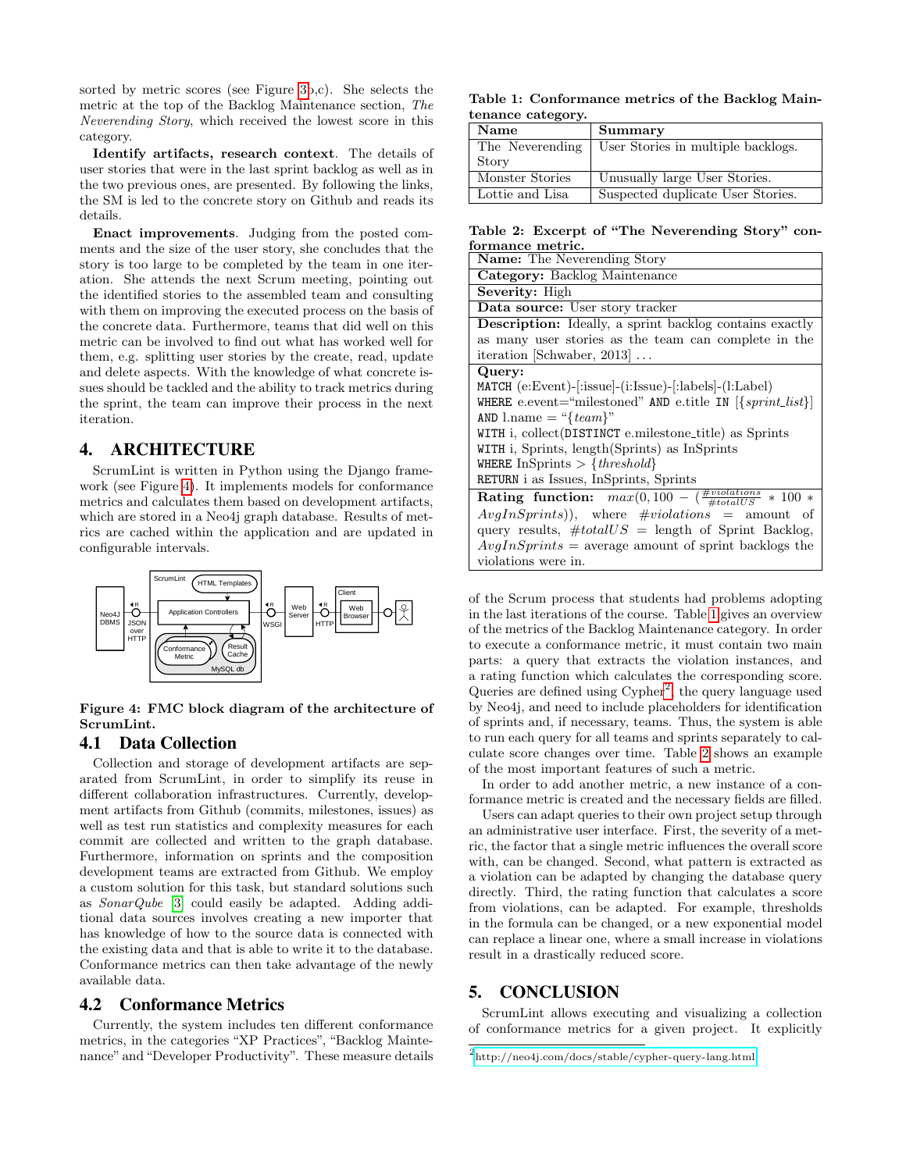sorted by metric scores (see Figure [3b](#page-3-7),c). She selects the metric at the top of the Backlog Maintenance section, The Neverending Story, which received the lowest score in this category.

Identify artifacts, research context. The details of user stories that were in the last sprint backlog as well as in the two previous ones, are presented. By following the links, the SM is led to the concrete story on Github and reads its details.

Enact improvements. Judging from the posted comments and the size of the user story, she concludes that the story is too large to be completed by the team in one iteration. She attends the next Scrum meeting, pointing out the identified stories to the assembled team and consulting with them on improving the executed process on the basis of the concrete data. Furthermore, teams that did well on this metric can be involved to find out what has worked well for them, e.g. splitting user stories by the create, read, update and delete aspects. With the knowledge of what concrete issues should be tackled and the ability to track metrics during the sprint, the team can improve their process in the next iteration.

# 4. ARCHITECTURE

ScrumLint is written in Python using the Django framework (see Figure [4\)](#page-2-0). It implements models for conformance metrics and calculates them based on development artifacts, which are stored in a Neo4j graph database. Results of metrics are cached within the application and are updated in configurable intervals.



Figure 4: FMC block diagram of the architecture of ScrumLint.

#### 4.1 Data Collection

Collection and storage of development artifacts are separated from ScrumLint, in order to simplify its reuse in different collaboration infrastructures. Currently, development artifacts from Github (commits, milestones, issues) as well as test run statistics and complexity measures for each commit are collected and written to the graph database. Furthermore, information on sprints and the composition development teams are extracted from Github. We employ a custom solution for this task, but standard solutions such as SonarQube [\[3\]](#page-3-10) could easily be adapted. Adding additional data sources involves creating a new importer that has knowledge of how to the source data is connected with the existing data and that is able to write it to the database. Conformance metrics can then take advantage of the newly available data.

#### 4.2 Conformance Metrics

Currently, the system includes ten different conformance metrics, in the categories "XP Practices", "Backlog Maintenance" and "Developer Productivity". These measure details

<span id="page-2-1"></span>Table 1: Conformance metrics of the Backlog Maintenance category.

| Name            | Summary                            |
|-----------------|------------------------------------|
| The Neverending | User Stories in multiple backlogs. |
| Story           |                                    |
| Monster Stories | Unusually large User Stories.      |
| Lottie and Lisa | Suspected duplicate User Stories.  |

<span id="page-2-3"></span>Table 2: Excerpt of "The Neverending Story" conformance metric.

| <b>Name:</b> The Neverending Story                                        |  |  |
|---------------------------------------------------------------------------|--|--|
| <b>Category:</b> Backlog Maintenance                                      |  |  |
| <b>Severity: High</b>                                                     |  |  |
| Data source: User story tracker                                           |  |  |
| <b>Description:</b> Ideally, a sprint backlog contains exactly            |  |  |
| as many user stories as the team can complete in the                      |  |  |
| iteration [Schwaber, $2013$ ]                                             |  |  |
| Query:                                                                    |  |  |
| MATCH (e:Event)-[:issue]-(i:Issue)-[:labels]-(l:Label)                    |  |  |
| WHERE e.event="milestoned" AND e.title IN $[\{$ sprint_list\}]            |  |  |
| AND l.name $=$ "{ $team$ }"                                               |  |  |
| WITH i, collect (DISTINCT e.milestone_title) as Sprints                   |  |  |
| WITH i, Sprints, length (Sprints) as InSprints                            |  |  |
| WHERE InSprints $\frac{1}{t}$ {threshold}                                 |  |  |
| RETURN i as Issues, InSprints, Sprints                                    |  |  |
| Rating function: $max(0, 100 - (\frac{\# violations}{\#totalUS} * 100 *)$ |  |  |
| $AvgInSprints)$ , where $#violations$ = amount of                         |  |  |
| query results, $\#totalUS =$ length of Sprint Backlog,                    |  |  |
| $AvgInSprints = average$ amount of sprint backlogs the                    |  |  |
| violations were in.                                                       |  |  |

<span id="page-2-0"></span>of the Scrum process that students had problems adopting in the last iterations of the course. Table [1](#page-2-1) gives an overview of the metrics of the Backlog Maintenance category. In order to execute a conformance metric, it must contain two main parts: a query that extracts the violation instances, and a rating function which calculates the corresponding score. Queries are defined using  $Cypher<sup>2</sup>$  $Cypher<sup>2</sup>$  $Cypher<sup>2</sup>$ , the query language used by Neo4j, and need to include placeholders for identification of sprints and, if necessary, teams. Thus, the system is able to run each query for all teams and sprints separately to calculate score changes over time. Table [2](#page-2-3) shows an example of the most important features of such a metric.

In order to add another metric, a new instance of a conformance metric is created and the necessary fields are filled.

Users can adapt queries to their own project setup through an administrative user interface. First, the severity of a metric, the factor that a single metric influences the overall score with, can be changed. Second, what pattern is extracted as a violation can be adapted by changing the database query directly. Third, the rating function that calculates a score from violations, can be adapted. For example, thresholds in the formula can be changed, or a new exponential model can replace a linear one, where a small increase in violations result in a drastically reduced score.

## 5. CONCLUSION

ScrumLint allows executing and visualizing a collection of conformance metrics for a given project. It explicitly

<span id="page-2-2"></span><sup>2</sup> <http://neo4j.com/docs/stable/cypher-query-lang.html>